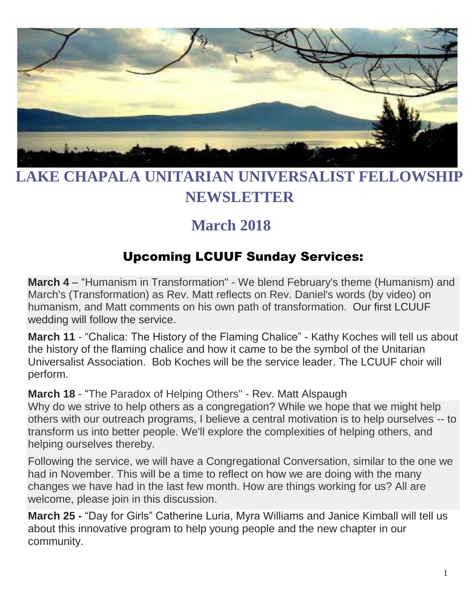

# **LAKE CHAPALA UNITARIAN UNIVERSALIST FELLOWSHIP NEWSLETTER**

# **March 2018**

## Upcoming LCUUF Sunday Services:

**March 4** – "Humanism in Transformation" - We blend February's theme (Humanism) and March's (Transformation) as Rev. Matt reflects on Rev. Daniel's words (by video) on humanism, and Matt comments on his own path of transformation. Our first LCUUF wedding will follow the service.

**March 11** - "Chalica: The History of the Flaming Chalice" - Kathy Koches will tell us about the history of the flaming chalice and how it came to be the symbol of the Unitarian Universalist Association. Bob Koches will be the service leader. The LCUUF choir will perform.

**March 18** - "The Paradox of Helping Others" - Rev. Matt Alspaugh Why do we strive to help others as a congregation? While we hope that we might help others with our outreach programs, I believe a central motivation is to help ourselves -- to transform us into better people. We'll explore the complexities of helping others, and helping ourselves thereby.

Following the service, we will have a Congregational Conversation, similar to the one we had in November. This will be a time to reflect on how we are doing with the many changes we have had in the last few month. How are things working for us? All are welcome, please join in this discussion.

**March 25 -** "Day for Girls" Catherine Luria, Myra Williams and Janice Kimball will tell us about this innovative program to help young people and the new chapter in our community.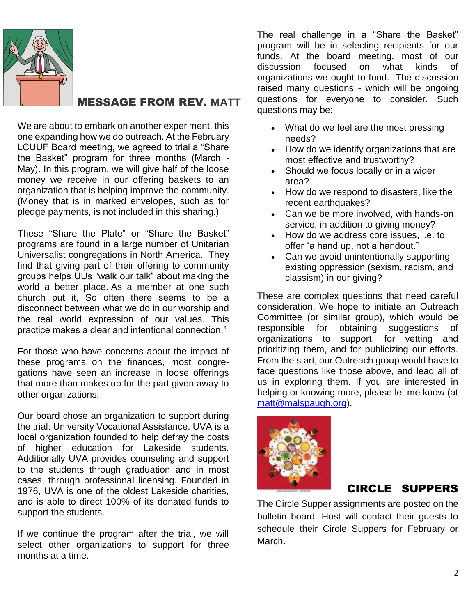

#### MESSAGE FROM REV. **MATT**

We are about to embark on another experiment, this one expanding how we do outreach. At the February LCUUF Board meeting, we agreed to trial a "Share the Basket" program for three months (March - May). In this program, we will give half of the loose money we receive in our offering baskets to an organization that is helping improve the community. (Money that is in marked envelopes, such as for pledge payments, is not included in this sharing.)

These "Share the Plate" or "Share the Basket" programs are found in a large number of Unitarian Universalist congregations in North America. They find that giving part of their offering to community groups helps UUs "walk our talk" about making the world a better place. As a member at one such church put it, So often there seems to be a disconnect between what we do in our worship and the real world expression of our values. This practice makes a clear and intentional connection."

For those who have concerns about the impact of these programs on the finances, most congregations have seen an increase in loose offerings that more than makes up for the part given away to other organizations.

Our board chose an organization to support during the trial: University Vocational Assistance. UVA is a local organization founded to help defray the costs of higher education for Lakeside students. Additionally UVA provides counseling and support to the students through graduation and in most cases, through professional licensing. Founded in 1976, UVA is one of the oldest Lakeside charities, and is able to direct 100% of its donated funds to support the students.

If we continue the program after the trial, we will select other organizations to support for three months at a time.

The real challenge in a "Share the Basket" program will be in selecting recipients for our funds. At the board meeting, most of our discussion focused on what kinds of organizations we ought to fund. The discussion raised many questions - which will be ongoing questions for everyone to consider. Such questions may be:

- What do we feel are the most pressing needs?
- How do we identify organizations that are most effective and trustworthy?
- Should we focus locally or in a wider area?
- How do we respond to disasters, like the recent earthquakes?
- Can we be more involved, with hands-on service, in addition to giving money?
- How do we address core issues, i.e. to offer "a hand up, not a handout."
- Can we avoid unintentionally supporting existing oppression (sexism, racism, and classism) in our giving?

These are complex questions that need careful consideration. We hope to initiate an Outreach Committee (or similar group), which would be responsible for obtaining suggestions of organizations to support, for vetting and prioritizing them, and for publicizing our efforts. From the start, our Outreach group would have to face questions like those above, and lead all of us in exploring them. If you are interested in helping or knowing more, please let me know (at [matt@malspaugh.org\)](mailto:matt@malspaugh.org).



#### CIRCLE SUPPERS

The Circle Supper assignments are posted on the bulletin board. Host will contact their guests to schedule their Circle Suppers for February or March.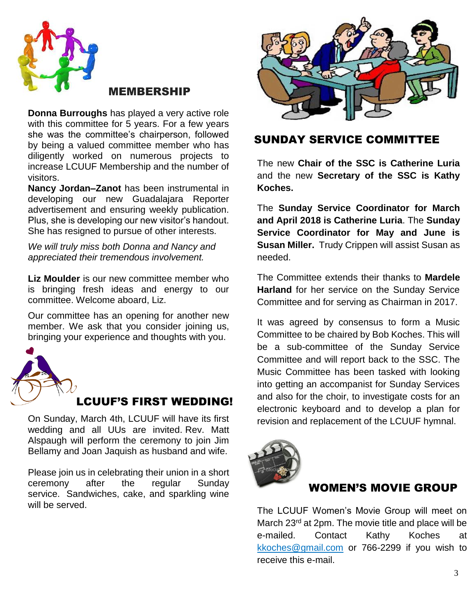

#### MEMBERSHIP

**Donna Burroughs** has played a very active role with this committee for 5 years. For a few years she was the committee's chairperson, followed by being a valued committee member who has diligently worked on numerous projects to increase LCUUF Membership and the number of visitors.

**Nancy Jordan–Zanot** has been instrumental in developing our new Guadalajara Reporter advertisement and ensuring weekly publication. Plus, she is developing our new visitor's handout. She has resigned to pursue of other interests.

*We will truly miss both Donna and Nancy and appreciated their tremendous involvement.*

**Liz Moulder** is our new committee member who is bringing fresh ideas and energy to our committee. Welcome aboard, Liz.

Our committee has an opening for another new member. We ask that you consider joining us, bringing your experience and thoughts with you.



#### LCUUF'S FIRST WEDDING!

On Sunday, March 4th, LCUUF will have its first wedding and all UUs are invited. Rev. Matt Alspaugh will perform the ceremony to join Jim Bellamy and Joan Jaquish as husband and wife.

Please join us in celebrating their union in a short ceremony after the regular Sunday service. Sandwiches, cake, and sparkling wine will be served.



#### SUNDAY SERVICE COMMITTEE

The new **Chair of the SSC is Catherine Luria** and the new **Secretary of the SSC is Kathy Koches.**

The **Sunday Service Coordinator for March and April 2018 is Catherine Luria**. The **Sunday Service Coordinator for May and June is Susan Miller.** Trudy Crippen will assist Susan as needed.

The Committee extends their thanks to **Mardele Harland** for her service on the Sunday Service Committee and for serving as Chairman in 2017.

It was agreed by consensus to form a Music Committee to be chaired by Bob Koches. This will be a sub-committee of the Sunday Service Committee and will report back to the SSC. The Music Committee has been tasked with looking into getting an accompanist for Sunday Services and also for the choir, to investigate costs for an electronic keyboard and to develop a plan for revision and replacement of the LCUUF hymnal.



#### WOMEN'S MOVIE GROUP

The LCUUF Women's Movie Group will meet on March 23<sup>rd</sup> at 2pm. The movie title and place will be e-mailed. Contact Kathy Koches at [kkoches@gmail.com](mailto:kkoches@gmail.com) or 766-2299 if you wish to receive this e-mail.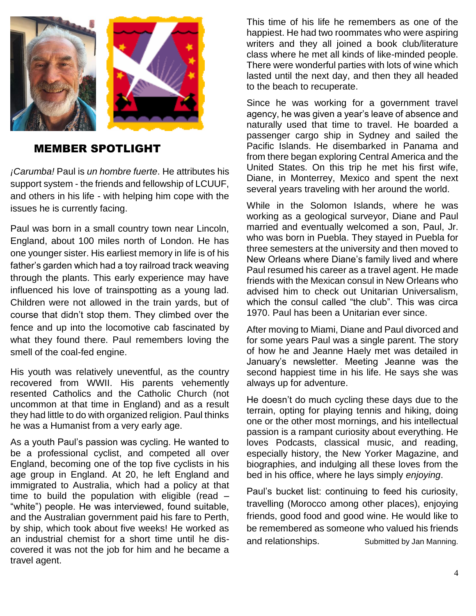

#### MEMBER SPOTLIGHT

*¡Carumba!* Paul is *un hombre fuerte*. He attributes his support system - the friends and fellowship of LCUUF, and others in his life - with helping him cope with the issues he is currently facing.

Paul was born in a small country town near Lincoln, England, about 100 miles north of London. He has one younger sister. His earliest memory in life is of his father's garden which had a toy railroad track weaving through the plants. This early experience may have influenced his love of trainspotting as a young lad. Children were not allowed in the train yards, but of course that didn't stop them. They climbed over the fence and up into the locomotive cab fascinated by what they found there. Paul remembers loving the smell of the coal-fed engine.

His youth was relatively uneventful, as the country recovered from WWII. His parents vehemently resented Catholics and the Catholic Church (not uncommon at that time in England) and as a result they had little to do with organized religion. Paul thinks he was a Humanist from a very early age.

As a youth Paul's passion was cycling. He wanted to be a professional cyclist, and competed all over England, becoming one of the top five cyclists in his age group in England. At 20, he left England and immigrated to Australia, which had a policy at that time to build the population with eligible (read – "white") people. He was interviewed, found suitable, and the Australian government paid his fare to Perth, by ship, which took about five weeks! He worked as an industrial chemist for a short time until he discovered it was not the job for him and he became a travel agent.

This time of his life he remembers as one of the happiest. He had two roommates who were aspiring writers and they all joined a book club/literature class where he met all kinds of like-minded people. There were wonderful parties with lots of wine which lasted until the next day, and then they all headed to the beach to recuperate.

Since he was working for a government travel agency, he was given a year's leave of absence and naturally used that time to travel. He boarded a passenger cargo ship in Sydney and sailed the Pacific Islands. He disembarked in Panama and from there began exploring Central America and the United States. On this trip he met his first wife, Diane, in Monterrey, Mexico and spent the next several years traveling with her around the world.

While in the Solomon Islands, where he was working as a geological surveyor, Diane and Paul married and eventually welcomed a son, Paul, Jr. who was born in Puebla. They stayed in Puebla for three semesters at the university and then moved to New Orleans where Diane's family lived and where Paul resumed his career as a travel agent. He made friends with the Mexican consul in New Orleans who advised him to check out Unitarian Universalism, which the consul called "the club". This was circa 1970. Paul has been a Unitarian ever since.

After moving to Miami, Diane and Paul divorced and for some years Paul was a single parent. The story of how he and Jeanne Haely met was detailed in January's newsletter. Meeting Jeanne was the second happiest time in his life. He says she was always up for adventure.

He doesn't do much cycling these days due to the terrain, opting for playing tennis and hiking, doing one or the other most mornings, and his intellectual passion is a rampant curiosity about everything. He loves Podcasts, classical music, and reading, especially history, the New Yorker Magazine, and biographies, and indulging all these loves from the bed in his office, where he lays simply *enjoying*.

Paul's bucket list: continuing to feed his curiosity, travelling (Morocco among other places), enjoying friends, good food and good wine. He would like to be remembered as someone who valued his friends and relationships. Submitted by Jan Manning.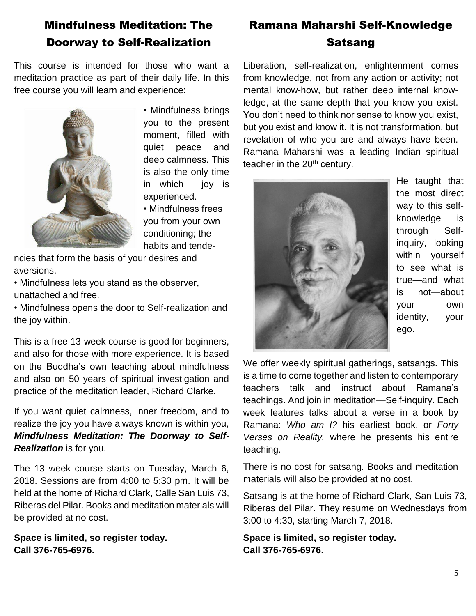## Mindfulness Meditation: The Doorway to Self-Realization

This course is intended for those who want a meditation practice as part of their daily life. In this free course you will learn and experience:



• Mindfulness brings you to the present moment, filled with quiet peace and deep calmness. This is also the only time in which joy is experienced.

• Mindfulness frees you from your own conditioning; the habits and tende-

ncies that form the basis of your desires and aversions.

• Mindfulness lets you stand as the observer, unattached and free.

• Mindfulness opens the door to Self-realization and the joy within.

This is a free 13-week course is good for beginners, and also for those with more experience. It is based on the Buddha's own teaching about mindfulness and also on 50 years of spiritual investigation and practice of the meditation leader, Richard Clarke.

If you want quiet calmness, inner freedom, and to realize the joy you have always known is within you, *Mindfulness Meditation: The Doorway to Self-Realization* is for you.

The 13 week course starts on Tuesday, March 6, 2018. Sessions are from 4:00 to 5:30 pm. It will be held at the home of Richard Clark, Calle San Luis 73, Riberas del Pilar. Books and meditation materials will be provided at no cost.

**Space is limited, so register today. Call 376-765-6976.**

## Ramana Maharshi Self-Knowledge Satsang

Liberation, self-realization, enlightenment comes from knowledge, not from any action or activity; not mental know-how, but rather deep internal knowledge, at the same depth that you know you exist. You don't need to think nor sense to know you exist, but you exist and know it. It is not transformation, but revelation of who you are and always have been. Ramana Maharshi was a leading Indian spiritual teacher in the 20<sup>th</sup> century.



He taught that the most direct way to this selfknowledge is through Selfinquiry, looking within yourself to see what is true—and what is not—about your own identity, your ego.

We offer weekly spiritual gatherings, satsangs. This is a time to come together and listen to contemporary teachers talk and instruct about Ramana's teachings. And join in meditation—Self-inquiry. Each week features talks about a verse in a book by Ramana: *Who am I?* his earliest book, or *Forty Verses on Reality,* where he presents his entire teaching.

There is no cost for satsang. Books and meditation materials will also be provided at no cost.

Satsang is at the home of Richard Clark, San Luis 73, Riberas del Pilar. They resume on Wednesdays from 3:00 to 4:30, starting March 7, 2018.

**Space is limited, so register today. Call 376-765-6976.**